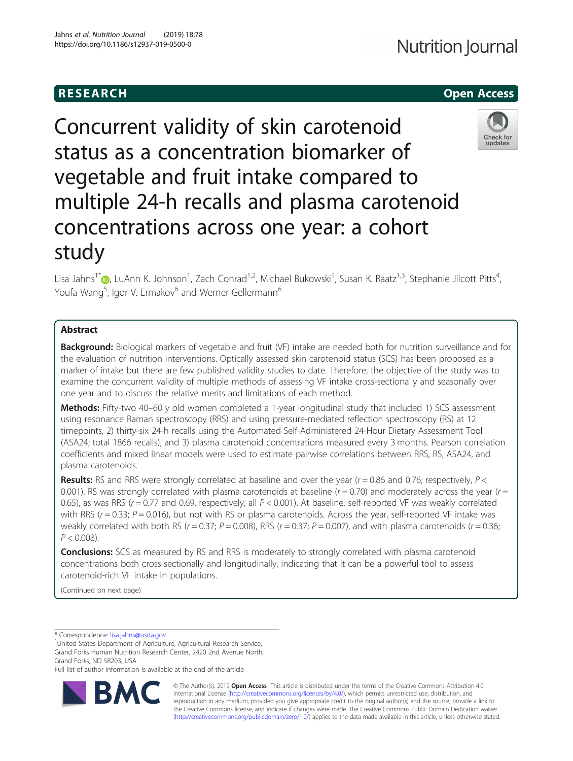# Concurrent validity of skin carotenoid status as a concentration biomarker of vegetable and fruit intake compared to multiple 24-h recalls and plasma carotenoid concentrations across one year: a cohort study

Lisa Jahns<sup>1[\\*](http://orcid.org/0000-0002-1828-6962)</sup>�, LuAnn K. Johnson<sup>1</sup>, Zach Conrad<sup>1,2</sup>, Michael Bukowski<sup>1</sup>, Susan K. Raatz<sup>1,3</sup>, Stephanie Jilcott Pitts<sup>4</sup> , Youfa Wang<sup>5</sup>, Igor V. Ermakov<sup>6</sup> and Werner Gellermann<sup>6</sup>

# Abstract

**Background:** Biological markers of vegetable and fruit (VF) intake are needed both for nutrition surveillance and for the evaluation of nutrition interventions. Optically assessed skin carotenoid status (SCS) has been proposed as a marker of intake but there are few published validity studies to date. Therefore, the objective of the study was to examine the concurrent validity of multiple methods of assessing VF intake cross-sectionally and seasonally over one year and to discuss the relative merits and limitations of each method.

Methods: Fifty-two 40–60 y old women completed a 1-year longitudinal study that included 1) SCS assessment using resonance Raman spectroscopy (RRS) and using pressure-mediated reflection spectroscopy (RS) at 12 timepoints, 2) thirty-six 24-h recalls using the Automated Self-Administered 24-Hour Dietary Assessment Tool (ASA24; total 1866 recalls), and 3) plasma carotenoid concentrations measured every 3 months. Pearson correlation coefficients and mixed linear models were used to estimate pairwise correlations between RRS, RS, ASA24, and plasma carotenoids.

**Results:** RS and RRS were strongly correlated at baseline and over the year ( $r = 0.86$  and 0.76; respectively,  $P <$ 0.001). RS was strongly correlated with plasma carotenoids at baseline ( $r = 0.70$ ) and moderately across the year ( $r =$ 0.65), as was RRS ( $r = 0.77$  and 0.69, respectively, all  $P < 0.001$ ). At baseline, self-reported VF was weakly correlated with RRS ( $r = 0.33$ ;  $P = 0.016$ ), but not with RS or plasma carotenoids. Across the year, self-reported VF intake was weakly correlated with both RS ( $r = 0.37$ ;  $P = 0.008$ ), RRS ( $r = 0.37$ ;  $P = 0.007$ ), and with plasma carotenoids ( $r = 0.36$ ;  $P < 0.008$ ).

**Conclusions:** SCS as measured by RS and RRS is moderately to strongly correlated with plasma carotenoid concentrations both cross-sectionally and longitudinally, indicating that it can be a powerful tool to assess carotenoid-rich VF intake in populations.

(Continued on next page)

\* Correspondence: [lisa.jahns@usda.gov](mailto:lisa.jahns@usda.gov) <sup>1</sup>

<sup>1</sup>United States Department of Agriculture, Agricultural Research Service, Grand Forks Human Nutrition Research Center, 2420 2nd Avenue North, Grand Forks, ND 58203, USA

Full list of author information is available at the end of the article



© The Author(s). 2019 **Open Access** This article is distributed under the terms of the Creative Commons Attribution 4.0 International License [\(http://creativecommons.org/licenses/by/4.0/](http://creativecommons.org/licenses/by/4.0/)), which permits unrestricted use, distribution, and reproduction in any medium, provided you give appropriate credit to the original author(s) and the source, provide a link to the Creative Commons license, and indicate if changes were made. The Creative Commons Public Domain Dedication waiver [\(http://creativecommons.org/publicdomain/zero/1.0/](http://creativecommons.org/publicdomain/zero/1.0/)) applies to the data made available in this article, unless otherwise stated.







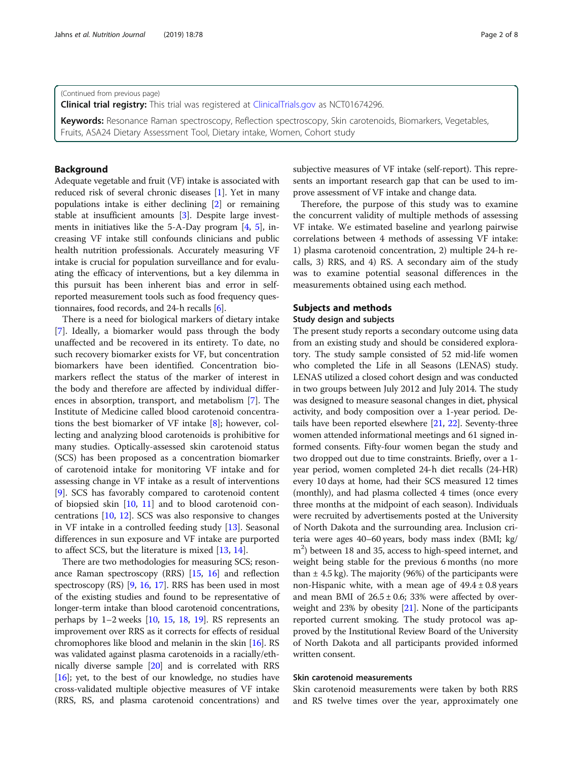(Continued from previous page)

Clinical trial registry: This trial was registered at [ClinicalTrials.gov](http://clinicaltrials.gov) as NCT01674296.

Keywords: Resonance Raman spectroscopy, Reflection spectroscopy, Skin carotenoids, Biomarkers, Vegetables, Fruits, ASA24 Dietary Assessment Tool, Dietary intake, Women, Cohort study

### Background

Adequate vegetable and fruit (VF) intake is associated with reduced risk of several chronic diseases [[1\]](#page-6-0). Yet in many populations intake is either declining [[2\]](#page-6-0) or remaining stable at insufficient amounts [\[3](#page-6-0)]. Despite large investments in initiatives like the 5-A-Day program [\[4,](#page-6-0) [5\]](#page-6-0), increasing VF intake still confounds clinicians and public health nutrition professionals. Accurately measuring VF intake is crucial for population surveillance and for evaluating the efficacy of interventions, but a key dilemma in this pursuit has been inherent bias and error in selfreported measurement tools such as food frequency questionnaires, food records, and 24-h recalls [\[6](#page-6-0)].

There is a need for biological markers of dietary intake [[7\]](#page-6-0). Ideally, a biomarker would pass through the body unaffected and be recovered in its entirety. To date, no such recovery biomarker exists for VF, but concentration biomarkers have been identified. Concentration biomarkers reflect the status of the marker of interest in the body and therefore are affected by individual differences in absorption, transport, and metabolism [\[7](#page-6-0)]. The Institute of Medicine called blood carotenoid concentrations the best biomarker of VF intake [\[8\]](#page-6-0); however, collecting and analyzing blood carotenoids is prohibitive for many studies. Optically-assessed skin carotenoid status (SCS) has been proposed as a concentration biomarker of carotenoid intake for monitoring VF intake and for assessing change in VF intake as a result of interventions [[9\]](#page-6-0). SCS has favorably compared to carotenoid content of biopsied skin [\[10](#page-6-0), [11](#page-6-0)] and to blood carotenoid concentrations [[10,](#page-6-0) [12\]](#page-6-0). SCS was also responsive to changes in VF intake in a controlled feeding study [[13\]](#page-6-0). Seasonal differences in sun exposure and VF intake are purported to affect SCS, but the literature is mixed [[13,](#page-6-0) [14\]](#page-6-0).

There are two methodologies for measuring SCS; resonance Raman spectroscopy (RRS) [\[15](#page-6-0), [16\]](#page-6-0) and reflection spectroscopy (RS) [\[9,](#page-6-0) [16,](#page-6-0) [17](#page-6-0)]. RRS has been used in most of the existing studies and found to be representative of longer-term intake than blood carotenoid concentrations, perhaps by  $1-2$  weeks  $[10, 15, 18, 19]$  $[10, 15, 18, 19]$  $[10, 15, 18, 19]$  $[10, 15, 18, 19]$  $[10, 15, 18, 19]$  $[10, 15, 18, 19]$  $[10, 15, 18, 19]$  $[10, 15, 18, 19]$ . RS represents an improvement over RRS as it corrects for effects of residual chromophores like blood and melanin in the skin [[16\]](#page-6-0). RS was validated against plasma carotenoids in a racially/ethnically diverse sample [[20](#page-6-0)] and is correlated with RRS [[16](#page-6-0)]; yet, to the best of our knowledge, no studies have cross-validated multiple objective measures of VF intake (RRS, RS, and plasma carotenoid concentrations) and subjective measures of VF intake (self-report). This represents an important research gap that can be used to improve assessment of VF intake and change data.

Therefore, the purpose of this study was to examine the concurrent validity of multiple methods of assessing VF intake. We estimated baseline and yearlong pairwise correlations between 4 methods of assessing VF intake: 1) plasma carotenoid concentration, 2) multiple 24-h recalls, 3) RRS, and 4) RS. A secondary aim of the study was to examine potential seasonal differences in the measurements obtained using each method.

### Subjects and methods

## Study design and subjects

The present study reports a secondary outcome using data from an existing study and should be considered exploratory. The study sample consisted of 52 mid-life women who completed the Life in all Seasons (LENAS) study. LENAS utilized a closed cohort design and was conducted in two groups between July 2012 and July 2014. The study was designed to measure seasonal changes in diet, physical activity, and body composition over a 1-year period. Details have been reported elsewhere [[21](#page-6-0), [22](#page-7-0)]. Seventy-three women attended informational meetings and 61 signed informed consents. Fifty-four women began the study and two dropped out due to time constraints. Briefly, over a 1 year period, women completed 24-h diet recalls (24-HR) every 10 days at home, had their SCS measured 12 times (monthly), and had plasma collected 4 times (once every three months at the midpoint of each season). Individuals were recruited by advertisements posted at the University of North Dakota and the surrounding area. Inclusion criteria were ages 40–60 years, body mass index (BMI; kg/ m2 ) between 18 and 35, access to high-speed internet, and weight being stable for the previous 6 months (no more than  $\pm$  4.5 kg). The majority (96%) of the participants were non-Hispanic white, with a mean age of  $49.4 \pm 0.8$  years and mean BMI of  $26.5 \pm 0.6$ ; 33% were affected by overweight and 23% by obesity [\[21\]](#page-6-0). None of the participants reported current smoking. The study protocol was approved by the Institutional Review Board of the University of North Dakota and all participants provided informed written consent.

# Skin carotenoid measurements

Skin carotenoid measurements were taken by both RRS and RS twelve times over the year, approximately one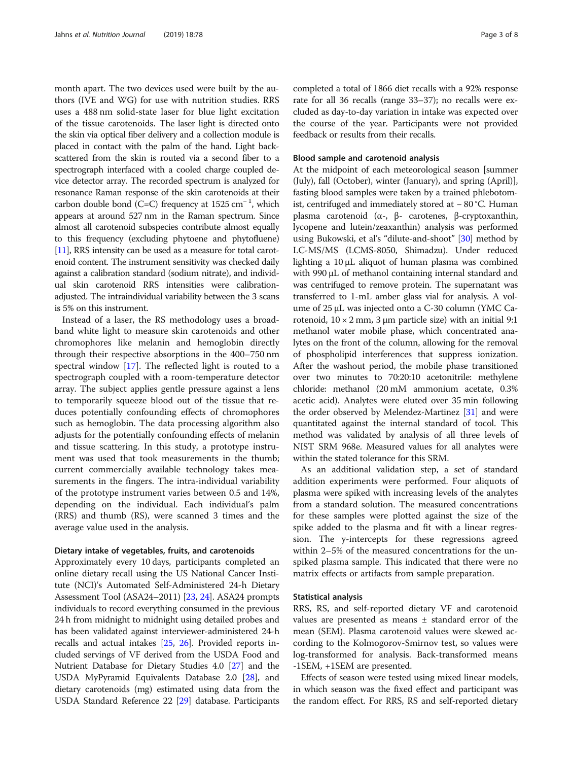month apart. The two devices used were built by the authors (IVE and WG) for use with nutrition studies. RRS uses a 488 nm solid-state laser for blue light excitation of the tissue carotenoids. The laser light is directed onto the skin via optical fiber delivery and a collection module is placed in contact with the palm of the hand. Light backscattered from the skin is routed via a second fiber to a spectrograph interfaced with a cooled charge coupled device detector array. The recorded spectrum is analyzed for resonance Raman response of the skin carotenoids at their carbon double bond (C=C) frequency at  $1525 \text{ cm}^{-1}$ , which appears at around 527 nm in the Raman spectrum. Since almost all carotenoid subspecies contribute almost equally to this frequency (excluding phytoene and phytofluene) [[11](#page-6-0)], RRS intensity can be used as a measure for total carotenoid content. The instrument sensitivity was checked daily against a calibration standard (sodium nitrate), and individual skin carotenoid RRS intensities were calibrationadjusted. The intraindividual variability between the 3 scans is 5% on this instrument.

Instead of a laser, the RS methodology uses a broadband white light to measure skin carotenoids and other chromophores like melanin and hemoglobin directly through their respective absorptions in the 400–750 nm spectral window [[17](#page-6-0)]. The reflected light is routed to a spectrograph coupled with a room-temperature detector array. The subject applies gentle pressure against a lens to temporarily squeeze blood out of the tissue that reduces potentially confounding effects of chromophores such as hemoglobin. The data processing algorithm also adjusts for the potentially confounding effects of melanin and tissue scattering. In this study, a prototype instrument was used that took measurements in the thumb; current commercially available technology takes measurements in the fingers. The intra-individual variability of the prototype instrument varies between 0.5 and 14%, depending on the individual. Each individual's palm (RRS) and thumb (RS), were scanned 3 times and the average value used in the analysis.

#### Dietary intake of vegetables, fruits, and carotenoids

Approximately every 10 days, participants completed an online dietary recall using the US National Cancer Institute (NCI)'s Automated Self-Administered 24-h Dietary Assessment Tool (ASA24–2011) [\[23](#page-7-0), [24\]](#page-7-0). ASA24 prompts individuals to record everything consumed in the previous 24 h from midnight to midnight using detailed probes and has been validated against interviewer-administered 24-h recalls and actual intakes [\[25,](#page-7-0) [26](#page-7-0)]. Provided reports included servings of VF derived from the USDA Food and Nutrient Database for Dietary Studies 4.0 [[27](#page-7-0)] and the USDA MyPyramid Equivalents Database 2.0 [\[28\]](#page-7-0), and dietary carotenoids (mg) estimated using data from the USDA Standard Reference 22 [\[29\]](#page-7-0) database. Participants completed a total of 1866 diet recalls with a 92% response rate for all 36 recalls (range 33–37); no recalls were excluded as day-to-day variation in intake was expected over the course of the year. Participants were not provided feedback or results from their recalls.

# Blood sample and carotenoid analysis

At the midpoint of each meteorological season [summer (July), fall (October), winter (January), and spring (April)], fasting blood samples were taken by a trained phlebotomist, centrifuged and immediately stored at − 80 °C. Human plasma carotenoid (α-, β- carotenes, β-cryptoxanthin, lycopene and lutein/zeaxanthin) analysis was performed using Bukowski, et al's "dilute-and-shoot" [\[30\]](#page-7-0) method by LC-MS/MS (LCMS-8050, Shimadzu). Under reduced lighting a 10 μL aliquot of human plasma was combined with 990 μL of methanol containing internal standard and was centrifuged to remove protein. The supernatant was transferred to 1-mL amber glass vial for analysis. A volume of 25 μL was injected onto a C-30 column (YMC Carotenoid,  $10 \times 2$  mm, 3 µm particle size) with an initial 9:1 methanol water mobile phase, which concentrated analytes on the front of the column, allowing for the removal of phospholipid interferences that suppress ionization. After the washout period, the mobile phase transitioned over two minutes to 70:20:10 acetonitrile: methylene chloride: methanol (20 mM ammonium acetate, 0.3% acetic acid). Analytes were eluted over 35 min following the order observed by Melendez-Martinez [\[31](#page-7-0)] and were quantitated against the internal standard of tocol. This method was validated by analysis of all three levels of NIST SRM 968e. Measured values for all analytes were within the stated tolerance for this SRM.

As an additional validation step, a set of standard addition experiments were performed. Four aliquots of plasma were spiked with increasing levels of the analytes from a standard solution. The measured concentrations for these samples were plotted against the size of the spike added to the plasma and fit with a linear regression. The y-intercepts for these regressions agreed within 2–5% of the measured concentrations for the unspiked plasma sample. This indicated that there were no matrix effects or artifacts from sample preparation.

#### Statistical analysis

RRS, RS, and self-reported dietary VF and carotenoid values are presented as means  $\pm$  standard error of the mean (SEM). Plasma carotenoid values were skewed according to the Kolmogorov-Smirnov test, so values were log-transformed for analysis. Back-transformed means -1SEM, +1SEM are presented.

Effects of season were tested using mixed linear models, in which season was the fixed effect and participant was the random effect. For RRS, RS and self-reported dietary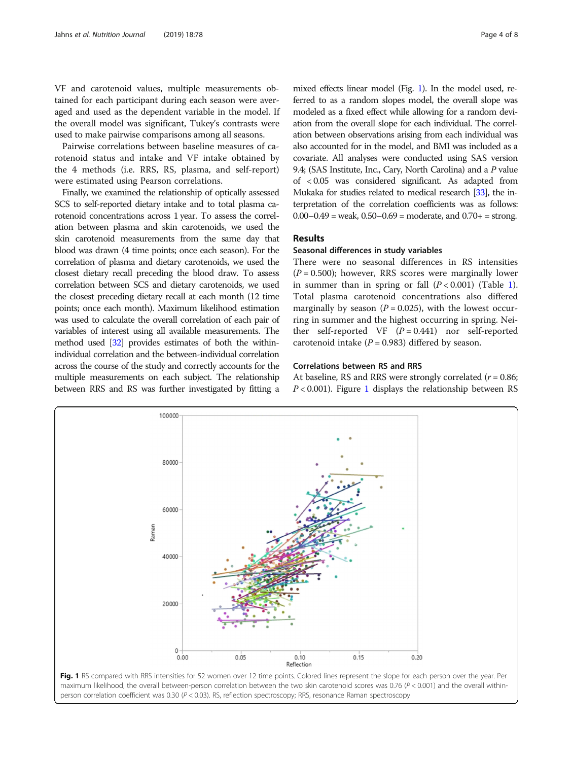VF and carotenoid values, multiple measurements obtained for each participant during each season were averaged and used as the dependent variable in the model. If the overall model was significant, Tukey's contrasts were used to make pairwise comparisons among all seasons.

Pairwise correlations between baseline measures of carotenoid status and intake and VF intake obtained by the 4 methods (i.e. RRS, RS, plasma, and self-report) were estimated using Pearson correlations.

Finally, we examined the relationship of optically assessed SCS to self-reported dietary intake and to total plasma carotenoid concentrations across 1 year. To assess the correlation between plasma and skin carotenoids, we used the skin carotenoid measurements from the same day that blood was drawn (4 time points; once each season). For the correlation of plasma and dietary carotenoids, we used the closest dietary recall preceding the blood draw. To assess correlation between SCS and dietary carotenoids, we used the closest preceding dietary recall at each month (12 time points; once each month). Maximum likelihood estimation was used to calculate the overall correlation of each pair of variables of interest using all available measurements. The method used [[32\]](#page-7-0) provides estimates of both the withinindividual correlation and the between-individual correlation across the course of the study and correctly accounts for the multiple measurements on each subject. The relationship between RRS and RS was further investigated by fitting a

mixed effects linear model (Fig. 1). In the model used, referred to as a random slopes model, the overall slope was modeled as a fixed effect while allowing for a random deviation from the overall slope for each individual. The correlation between observations arising from each individual was also accounted for in the model, and BMI was included as a covariate. All analyses were conducted using SAS version 9.4; (SAS Institute, Inc., Cary, North Carolina) and a P value of < 0.05 was considered significant. As adapted from Mukaka for studies related to medical research [\[33](#page-7-0)], the interpretation of the correlation coefficients was as follows:  $0.00-0.49$  = weak,  $0.50-0.69$  = moderate, and  $0.70+$  = strong.

# Results

# Seasonal differences in study variables

There were no seasonal differences in RS intensities  $(P = 0.500)$ ; however, RRS scores were marginally lower in summer than in spring or fall  $(P < 0.001)$  $(P < 0.001)$  $(P < 0.001)$  (Table 1). Total plasma carotenoid concentrations also differed marginally by season ( $P = 0.025$ ), with the lowest occurring in summer and the highest occurring in spring. Neither self-reported VF  $(P = 0.441)$  nor self-reported carotenoid intake ( $P = 0.983$ ) differed by season.

# Correlations between RS and RRS

At baseline, RS and RRS were strongly correlated ( $r = 0.86$ ;  $P < 0.001$ ). Figure 1 displays the relationship between RS



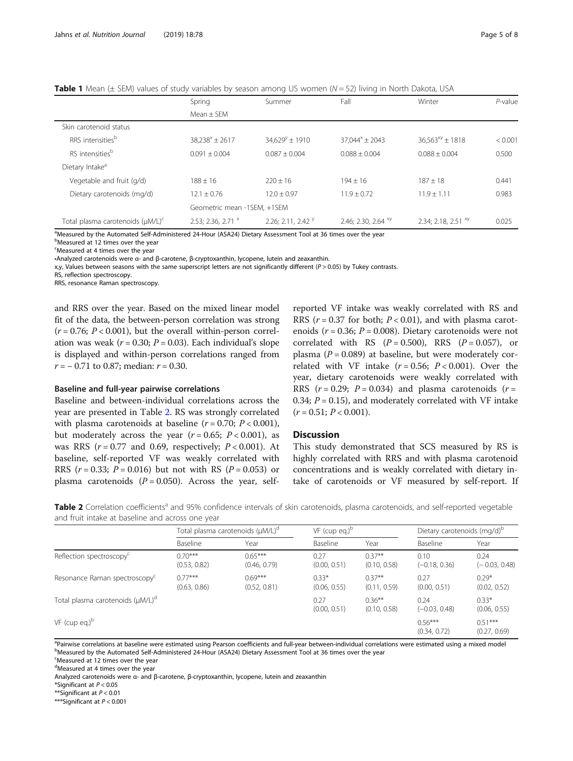<span id="page-4-0"></span>**Table 1** Mean ( $\pm$  SEM) values of study variables by season among US women ( $N = 52$ ) living in North Dakota, USA

|                                              | Spring                      | Summer               | Fall                           | Winter                         | $P$ -value |  |  |  |  |
|----------------------------------------------|-----------------------------|----------------------|--------------------------------|--------------------------------|------------|--|--|--|--|
|                                              | Mean $\pm$ SEM              |                      |                                |                                |            |  |  |  |  |
| Skin carotenoid status                       |                             |                      |                                |                                |            |  |  |  |  |
| RRS intensities <sup>b</sup>                 | $38.238^x \pm 2617$         | $34.629' \pm 1910$   | $37.044^{\times} \pm 2043$     | $36.563^{xy} \pm 1818$         | < 0.001    |  |  |  |  |
| RS intensities <sup>b</sup>                  | $0.091 \pm 0.004$           | $0.087 \pm 0.004$    | $0.088 \pm 0.004$              | $0.088 \pm 0.004$              | 0.500      |  |  |  |  |
| Dietary Intake <sup>a</sup>                  |                             |                      |                                |                                |            |  |  |  |  |
| Vegetable and fruit (g/d)                    | $188 + 16$                  | $220 + 16$           | $194 + 16$                     | $187 + 18$                     | 0.441      |  |  |  |  |
| Dietary carotenoids (mg/d)                   | $12.1 \pm 0.76$             | $12.0 \pm 0.97$      | $11.9 \pm 0.72$                | $11.9 \pm 1.11$                | 0.983      |  |  |  |  |
|                                              | Geometric mean -1SEM, +1SEM |                      |                                |                                |            |  |  |  |  |
| Total plasma carotenoids (µM/L) <sup>c</sup> | 2.53: 2.36. 2.71 $\times$   | 2.26: 2.11, 2.42 $y$ | 2.46: 2.30, 2.64 <sup>xy</sup> | 2.34; 2.18, 2.51 <sup>xy</sup> | 0.025      |  |  |  |  |

aMeasured by the Automated Self-Administered 24-Hour (ASA24) Dietary Assessment Tool at 36 times over the year

<sup>b</sup>Measured at 12 times over the year

<sup>c</sup>Measured at 4 times over the year

•Analyzed carotenoids were α- and β-carotene, β-cryptoxanthin, lycopene, lutein and zeaxanthin.

x,y, Values between seasons with the same superscript letters are not significantly different  $(P > 0.05)$  by Tukey contrasts.

RS, reflection spectroscopy.

RRS, resonance Raman spectroscopy.

and RRS over the year. Based on the mixed linear model fit of the data, the between-person correlation was strong  $(r = 0.76; P < 0.001)$ , but the overall within-person correlation was weak ( $r = 0.30$ ;  $P = 0.03$ ). Each individual's slope is displayed and within-person correlations ranged from  $r = -0.71$  to 0.87; median:  $r = 0.30$ .

# Baseline and full-year pairwise correlations

Baseline and between-individual correlations across the year are presented in Table 2. RS was strongly correlated with plasma carotenoids at baseline  $(r = 0.70; P < 0.001)$ , but moderately across the year ( $r = 0.65$ ;  $P < 0.001$ ), as was RRS ( $r = 0.77$  and 0.69, respectively;  $P < 0.001$ ). At baseline, self-reported VF was weakly correlated with RRS ( $r = 0.33$ ;  $P = 0.016$ ) but not with RS ( $P = 0.053$ ) or plasma carotenoids  $(P = 0.050)$ . Across the year, self-

reported VF intake was weakly correlated with RS and RRS ( $r = 0.37$  for both;  $P < 0.01$ ), and with plasma carotenoids ( $r = 0.36$ ;  $P = 0.008$ ). Dietary carotenoids were not correlated with RS  $(P = 0.500)$ , RRS  $(P = 0.057)$ , or plasma ( $P = 0.089$ ) at baseline, but were moderately correlated with VF intake  $(r = 0.56; P < 0.001)$ . Over the year, dietary carotenoids were weakly correlated with RRS  $(r = 0.29; P = 0.034)$  and plasma carotenoids  $(r = 1.29)$ 0.34;  $P = 0.15$ ), and moderately correlated with VF intake  $(r = 0.51; P < 0.001).$ 

# Discussion

This study demonstrated that SCS measured by RS is highly correlated with RRS and with plasma carotenoid concentrations and is weakly correlated with dietary intake of carotenoids or VF measured by self-report. If

Table 2 Correlation coefficients<sup>a</sup> and 95% confidence intervals of skin carotenoids, plasma carotenoids, and self-reported vegetable and fruit intake at baseline and across one year

|                                              | Total plasma carotenoids (µM/L) <sup>a</sup> |                           | VF (cup eq.) $^{\rm b}$ |                           | Dietary carotenoids (mg/d) <sup>b</sup> |                           |
|----------------------------------------------|----------------------------------------------|---------------------------|-------------------------|---------------------------|-----------------------------------------|---------------------------|
|                                              | Baseline                                     | Year                      | Baseline                | Year                      | Baseline                                | Year                      |
| Reflection spectroscopy                      | $0.70***$<br>(0.53, 0.82)                    | $0.65***$<br>(0.46, 0.79) | 0.27<br>(0.00, 0.51)    | $0.37***$<br>(0.10, 0.58) | 0.10<br>$(-0.18, 0.36)$                 | 0.24<br>$(-0.03, 0.48)$   |
| Resonance Raman spectroscopy                 | $0.77***$<br>(0.63, 0.86)                    | $0.69***$<br>(0.52, 0.81) | $0.33*$<br>(0.06, 0.55) | $0.37***$<br>(0.11, 0.59) | 0.27<br>(0.00, 0.51)                    | $0.29*$<br>(0.02, 0.52)   |
| Total plasma carotenoids (µM/L) <sup>d</sup> |                                              |                           | 0.27<br>(0.00, 0.51)    | $0.36***$<br>(0.10, 0.58) | 0.24<br>$(-0.03, 0.48)$                 | $0.33*$<br>(0.06, 0.55)   |
| VF (cup eq.) $b$                             |                                              |                           |                         |                           | $0.56***$<br>(0.34, 0.72)               | $0.51***$<br>(0.27, 0.69) |

<sup>a</sup>Pairwise correlations at baseline were estimated using Pearson coefficients and full-year between-individual correlations were estimated using a mixed model<br>PMeasured by the Automated Self-Administered 24-Hour (ASA24) D Measured by the Automated Self-Administered 24-Hour (ASA24) Dietary Assessment Tool at 36 times over the year

<sup>c</sup>Measured at 12 times over the year

<sup>d</sup>Measured at 4 times over the year

Analyzed carotenoids were α- and β-carotene, β-cryptoxanthin, lycopene, lutein and zeaxanthin

\*Significant at  $P < 0.05$ 

\*\*Significant at  $P < 0.01$ 

\*\*\*Significant at P < 0.001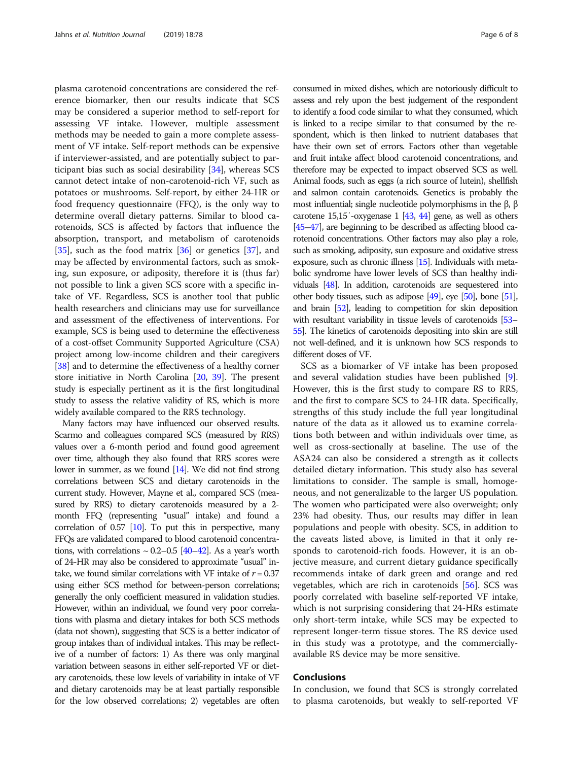plasma carotenoid concentrations are considered the reference biomarker, then our results indicate that SCS may be considered a superior method to self-report for assessing VF intake. However, multiple assessment methods may be needed to gain a more complete assessment of VF intake. Self-report methods can be expensive if interviewer-assisted, and are potentially subject to participant bias such as social desirability [[34](#page-7-0)], whereas SCS cannot detect intake of non-carotenoid-rich VF, such as potatoes or mushrooms. Self-report, by either 24-HR or food frequency questionnaire (FFQ), is the only way to determine overall dietary patterns. Similar to blood carotenoids, SCS is affected by factors that influence the absorption, transport, and metabolism of carotenoids [[35\]](#page-7-0), such as the food matrix  $[36]$  $[36]$  or genetics  $[37]$  $[37]$ , and may be affected by environmental factors, such as smoking, sun exposure, or adiposity, therefore it is (thus far) not possible to link a given SCS score with a specific intake of VF. Regardless, SCS is another tool that public health researchers and clinicians may use for surveillance and assessment of the effectiveness of interventions. For example, SCS is being used to determine the effectiveness of a cost-offset Community Supported Agriculture (CSA) project among low-income children and their caregivers [[38](#page-7-0)] and to determine the effectiveness of a healthy corner store initiative in North Carolina [\[20,](#page-6-0) [39](#page-7-0)]. The present study is especially pertinent as it is the first longitudinal study to assess the relative validity of RS, which is more widely available compared to the RRS technology.

Many factors may have influenced our observed results. Scarmo and colleagues compared SCS (measured by RRS) values over a 6-month period and found good agreement over time, although they also found that RRS scores were lower in summer, as we found [\[14](#page-6-0)]. We did not find strong correlations between SCS and dietary carotenoids in the current study. However, Mayne et al., compared SCS (measured by RRS) to dietary carotenoids measured by a 2 month FFQ (representing "usual" intake) and found a correlation of  $0.57$  [\[10](#page-6-0)]. To put this in perspective, many FFQs are validated compared to blood carotenoid concentrations, with correlations  $\sim 0.2 - 0.5$  [\[40](#page-7-0)–[42\]](#page-7-0). As a year's worth of 24-HR may also be considered to approximate "usual" intake, we found similar correlations with VF intake of  $r = 0.37$ using either SCS method for between-person correlations; generally the only coefficient measured in validation studies. However, within an individual, we found very poor correlations with plasma and dietary intakes for both SCS methods (data not shown), suggesting that SCS is a better indicator of group intakes than of individual intakes. This may be reflective of a number of factors: 1) As there was only marginal variation between seasons in either self-reported VF or dietary carotenoids, these low levels of variability in intake of VF and dietary carotenoids may be at least partially responsible for the low observed correlations; 2) vegetables are often consumed in mixed dishes, which are notoriously difficult to assess and rely upon the best judgement of the respondent to identify a food code similar to what they consumed, which is linked to a recipe similar to that consumed by the respondent, which is then linked to nutrient databases that have their own set of errors. Factors other than vegetable and fruit intake affect blood carotenoid concentrations, and therefore may be expected to impact observed SCS as well. Animal foods, such as eggs (a rich source of lutein), shellfish and salmon contain carotenoids. Genetics is probably the most influential; single nucleotide polymorphisms in the β, β carotene 15,15′-oxygenase 1 [\[43](#page-7-0), [44\]](#page-7-0) gene, as well as others [[45](#page-7-0)–[47\]](#page-7-0), are beginning to be described as affecting blood carotenoid concentrations. Other factors may also play a role, such as smoking, adiposity, sun exposure and oxidative stress exposure, such as chronic illness [\[15](#page-6-0)]. Individuals with metabolic syndrome have lower levels of SCS than healthy individuals [\[48\]](#page-7-0). In addition, carotenoids are sequestered into other body tissues, such as adipose [\[49\]](#page-7-0), eye [\[50](#page-7-0)], bone [\[51\]](#page-7-0), and brain [\[52\]](#page-7-0), leading to competition for skin deposition with resultant variability in tissue levels of carotenoids [\[53](#page-7-0)– [55\]](#page-7-0). The kinetics of carotenoids depositing into skin are still not well-defined, and it is unknown how SCS responds to different doses of VF.

SCS as a biomarker of VF intake has been proposed and several validation studies have been published [\[9](#page-6-0)]. However, this is the first study to compare RS to RRS, and the first to compare SCS to 24-HR data. Specifically, strengths of this study include the full year longitudinal nature of the data as it allowed us to examine correlations both between and within individuals over time, as well as cross-sectionally at baseline. The use of the ASA24 can also be considered a strength as it collects detailed dietary information. This study also has several limitations to consider. The sample is small, homogeneous, and not generalizable to the larger US population. The women who participated were also overweight; only 23% had obesity. Thus, our results may differ in lean populations and people with obesity. SCS, in addition to the caveats listed above, is limited in that it only responds to carotenoid-rich foods. However, it is an objective measure, and current dietary guidance specifically recommends intake of dark green and orange and red vegetables, which are rich in carotenoids [[56\]](#page-7-0). SCS was poorly correlated with baseline self-reported VF intake, which is not surprising considering that 24-HRs estimate only short-term intake, while SCS may be expected to represent longer-term tissue stores. The RS device used in this study was a prototype, and the commerciallyavailable RS device may be more sensitive.

# Conclusions

In conclusion, we found that SCS is strongly correlated to plasma carotenoids, but weakly to self-reported VF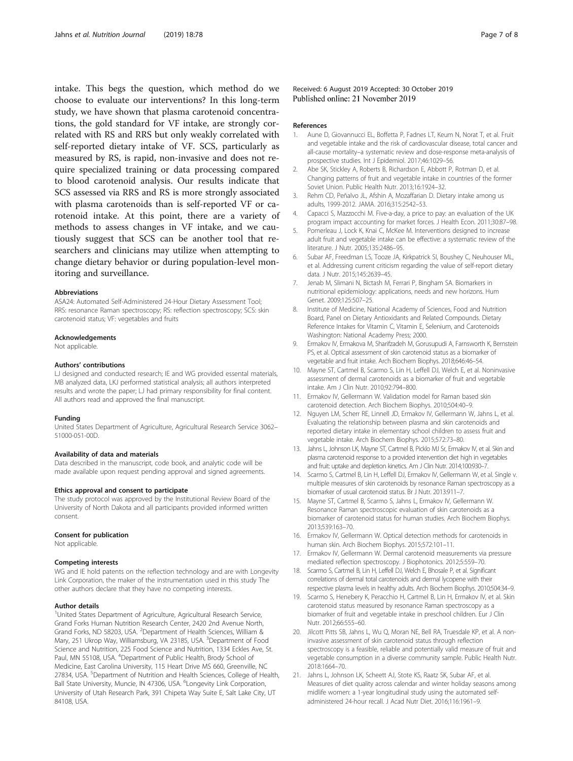<span id="page-6-0"></span>intake. This begs the question, which method do we choose to evaluate our interventions? In this long-term study, we have shown that plasma carotenoid concentrations, the gold standard for VF intake, are strongly correlated with RS and RRS but only weakly correlated with self-reported dietary intake of VF. SCS, particularly as measured by RS, is rapid, non-invasive and does not require specialized training or data processing compared to blood carotenoid analysis. Our results indicate that SCS assessed via RRS and RS is more strongly associated with plasma carotenoids than is self-reported VF or carotenoid intake. At this point, there are a variety of methods to assess changes in VF intake, and we cautiously suggest that SCS can be another tool that researchers and clinicians may utilize when attempting to change dietary behavior or during population-level monitoring and surveillance.

#### **Abbreviations**

ASA24: Automated Self-Administered 24-Hour Dietary Assessment Tool; RRS: resonance Raman spectroscopy; RS: reflection spectroscopy; SCS: skin carotenoid status; VF: vegetables and fruits

#### Acknowledgements

Not applicable.

#### Authors' contributions

LJ designed and conducted research; IE and WG provided essental materials, MB analyzed data, LKJ performed statistical analysis; all authors interpreted results and wrote the paper; LJ had primary responsibility for final content. All authors read and approved the final manuscript.

#### Funding

United States Department of Agriculture, Agricultural Research Service 3062– 51000-051-00D.

#### Availability of data and materials

Data described in the manuscript, code book, and analytic code will be made available upon request pending approval and signed agreements.

#### Ethics approval and consent to participate

The study protocol was approved by the Institutional Review Board of the University of North Dakota and all participants provided informed written consent.

#### Consent for publication

Not applicable.

#### Competing interests

WG and IE hold patents on the reflection technology and are with Longevity Link Corporation, the maker of the instrumentation used in this study The other authors declare that they have no competing interests.

#### Author details

<sup>1</sup>United States Department of Agriculture, Agricultural Research Service, Grand Forks Human Nutrition Research Center, 2420 2nd Avenue North, Grand Forks, ND 58203, USA. <sup>2</sup> Department of Health Sciences, William & Mary, 251 Ukrop Way, Williamsburg, VA 23185, USA. <sup>3</sup>Department of Food Science and Nutrition, 225 Food Science and Nutrition, 1334 Eckles Ave, St. Paul, MN 55108, USA. <sup>4</sup>Department of Public Health, Brody School of Medicine, East Carolina University, 115 Heart Drive MS 660, Greenville, NC 27834, USA. <sup>5</sup>Department of Nutrition and Health Sciences, College of Health, Ball State University, Muncie, IN 47306, USA. <sup>6</sup>Longevity Link Corporation, University of Utah Research Park, 391 Chipeta Way Suite E, Salt Lake City, UT 84108, USA.

### Received: 6 August 2019 Accepted: 30 October 2019 Published online: 21 November 2019

#### References

- 1. Aune D, Giovannucci EL, Boffetta P, Fadnes LT, Keum N, Norat T, et al. Fruit and vegetable intake and the risk of cardiovascular disease, total cancer and all-cause mortality–a systematic review and dose-response meta-analysis of prospective studies. Int J Epidemiol. 2017;46:1029–56.
- 2. Abe SK, Stickley A, Roberts B, Richardson E, Abbott P, Rotman D, et al. Changing patterns of fruit and vegetable intake in countries of the former Soviet Union. Public Health Nutr. 2013;16:1924–32.
- Rehm CD, Peñalvo JL, Afshin A, Mozaffarian D. Dietary intake among us adults, 1999-2012. JAMA. 2016;315:2542–53.
- 4. Capacci S, Mazzocchi M. Five-a-day, a price to pay: an evaluation of the UK program impact accounting for market forces. J Health Econ. 2011;30:87–98.
- 5. Pomerleau J, Lock K, Knai C, McKee M. Interventions designed to increase adult fruit and vegetable intake can be effective: a systematic review of the literature. J Nutr. 2005;135:2486–95.
- 6. Subar AF, Freedman LS, Tooze JA, Kirkpatrick SI, Boushey C, Neuhouser ML, et al. Addressing current criticism regarding the value of self-report dietary data. J Nutr. 2015;145:2639–45.
- 7. Jenab M, Slimani N, Bictash M, Ferrari P, Bingham SA. Biomarkers in nutritional epidemiology: applications, needs and new horizons. Hum Genet. 2009;125:507–25.
- 8. Institute of Medicine, National Academy of Sciences, Food and Nutrition Board, Panel on Dietary Antioxidants and Related Compounds. Dietary Reference Intakes for Vitamin C, Vitamin E, Selenium, and Carotenoids Washington: National Academy Press; 2000.
- 9. Ermakov IV, Ermakova M, Sharifzadeh M, Gorusupudi A, Farnsworth K, Bernstein PS, et al. Optical assessment of skin carotenoid status as a biomarker of vegetable and fruit intake. Arch Biochem Biophys. 2018;646:46–54.
- 10. Mayne ST, Cartmel B, Scarmo S, Lin H, Leffell DJ, Welch E, et al. Noninvasive assessment of dermal carotenoids as a biomarker of fruit and vegetable intake. Am J Clin Nutr. 2010;92:794–800.
- 11. Ermakov IV, Gellermann W. Validation model for Raman based skin carotenoid detection. Arch Biochem Biophys. 2010;504:40–9.
- 12. Nguyen LM, Scherr RE, Linnell JD, Ermakov IV, Gellermann W, Jahns L, et al. Evaluating the relationship between plasma and skin carotenoids and reported dietary intake in elementary school children to assess fruit and vegetable intake. Arch Biochem Biophys. 2015;572:73–80.
- 13. Jahns L, Johnson LK, Mayne ST, Cartmel B, Picklo MJ Sr, Ermakov IV, et al. Skin and plasma carotenoid response to a provided intervention diet high in vegetables and fruit: uptake and depletion kinetics. Am J Clin Nutr. 2014;100:930–7.
- 14. Scarmo S, Cartmel B, Lin H, Leffell DJ, Ermakov IV, Gellermann W, et al. Single v. multiple measures of skin carotenoids by resonance Raman spectroscopy as a biomarker of usual carotenoid status. Br J Nutr. 2013:911–7.
- 15. Mayne ST, Cartmel B, Scarmo S, Jahns L, Ermakov IV, Gellermann W. Resonance Raman spectroscopic evaluation of skin carotenoids as a biomarker of carotenoid status for human studies. Arch Biochem Biophys. 2013;539:163–70.
- 16. Ermakov IV, Gellermann W. Optical detection methods for carotenoids in human skin. Arch Biochem Biophys. 2015;572:101–11.
- 17. Ermakov IV, Gellermann W. Dermal carotenoid measurements via pressure mediated reflection spectroscopy. J Biophotonics. 2012;5:559–70.
- 18. Scarmo S, Cartmel B, Lin H, Leffell DJ, Welch E, Bhosale P, et al. Significant correlations of dermal total carotenoids and dermal lycopene with their respective plasma levels in healthy adults. Arch Biochem Biophys. 2010;504:34–9.
- 19. Scarmo S, Henebery K, Peracchio H, Cartmel B, Lin H, Ermakov IV, et al. Skin carotenoid status measured by resonance Raman spectroscopy as a biomarker of fruit and vegetable intake in preschool children. Eur J Clin Nutr. 2012;66:555–60.
- 20. Jilcott Pitts SB, Jahns L, Wu Q, Moran NE, Bell RA, Truesdale KP, et al. A noninvasive assessment of skin carotenoid status through reflection spectroscopy is a feasible, reliable and potentially valid measure of fruit and vegetable consumption in a diverse community sample. Public Health Nutr. 2018:1664–70.
- 21. Jahns L, Johnson LK, Scheett AJ, Stote KS, Raatz SK, Subar AF, et al. Measures of diet quality across calendar and winter holiday seasons among midlife women: a 1-year longitudinal study using the automated selfadministered 24-hour recall. J Acad Nutr Diet. 2016;116:1961–9.